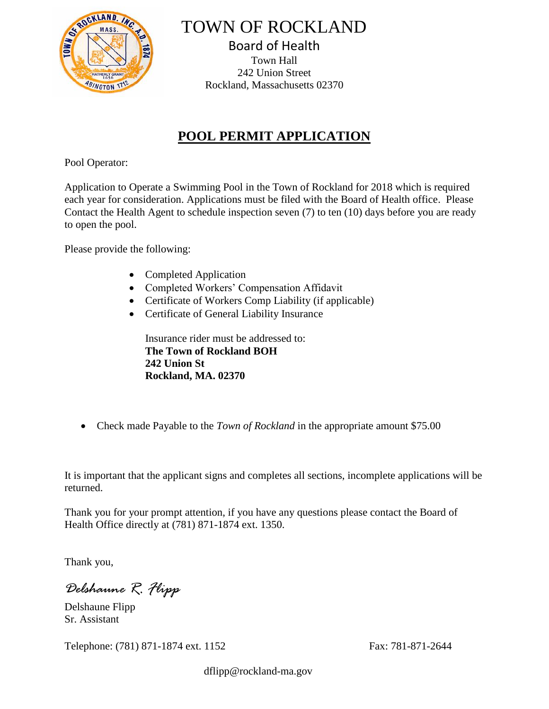

TOWN OF ROCKLAND

Board of Health Town Hall 242 Union Street Rockland, Massachusetts 02370

## **POOL PERMIT APPLICATION**

Pool Operator:

Application to Operate a Swimming Pool in the Town of Rockland for 2018 which is required each year for consideration. Applications must be filed with the Board of Health office. Please Contact the Health Agent to schedule inspection seven (7) to ten (10) days before you are ready to open the pool.

Please provide the following:

- Completed Application
- Completed Workers' Compensation Affidavit
- Certificate of Workers Comp Liability (if applicable)
- Certificate of General Liability Insurance

Insurance rider must be addressed to: **The Town of Rockland BOH 242 Union St Rockland, MA. 02370**

• Check made Payable to the *Town of Rockland* in the appropriate amount \$75.00

It is important that the applicant signs and completes all sections, incomplete applications will be returned.

Thank you for your prompt attention, if you have any questions please contact the Board of Health Office directly at (781) 871-1874 ext. 1350.

Thank you,

*Delshaune R. Flipp*

Delshaune Flipp Sr. Assistant

Telephone: (781) 871-1874 ext. 1152 Fax: 781-871-2644

dflipp@rockland-ma.gov